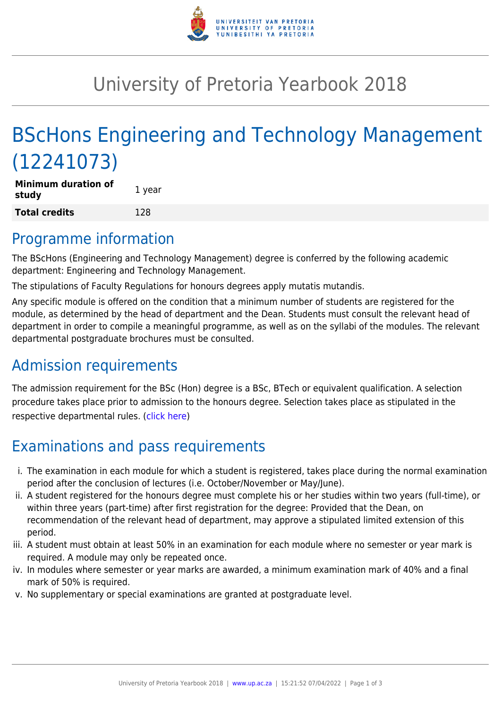

## University of Pretoria Yearbook 2018

# BScHons Engineering and Technology Management (12241073)

| <b>Minimum duration of</b><br>study | 1 year |
|-------------------------------------|--------|
| Total credits                       | 128    |

#### Programme information

The BScHons (Engineering and Technology Management) degree is conferred by the following academic department: Engineering and Technology Management.

The stipulations of Faculty Regulations for honours degrees apply mutatis mutandis.

Any specific module is offered on the condition that a minimum number of students are registered for the module, as determined by the head of department and the Dean. Students must consult the relevant head of department in order to compile a meaningful programme, as well as on the syllabi of the modules. The relevant departmental postgraduate brochures must be consulted.

### Admission requirements

The admission requirement for the BSc (Hon) degree is a BSc, BTech or equivalent qualification. A selection procedure takes place prior to admission to the honours degree. Selection takes place as stipulated in the respective departmental rules. [\(click here\)](http://www.up.ac.za/gstm)

## Examinations and pass requirements

- i. The examination in each module for which a student is registered, takes place during the normal examination period after the conclusion of lectures (i.e. October/November or May/June).
- ii. A student registered for the honours degree must complete his or her studies within two years (full-time), or within three years (part-time) after first registration for the degree: Provided that the Dean, on recommendation of the relevant head of department, may approve a stipulated limited extension of this period.
- iii. A student must obtain at least 50% in an examination for each module where no semester or year mark is required. A module may only be repeated once.
- iv. In modules where semester or year marks are awarded, a minimum examination mark of 40% and a final mark of 50% is required.
- v. No supplementary or special examinations are granted at postgraduate level.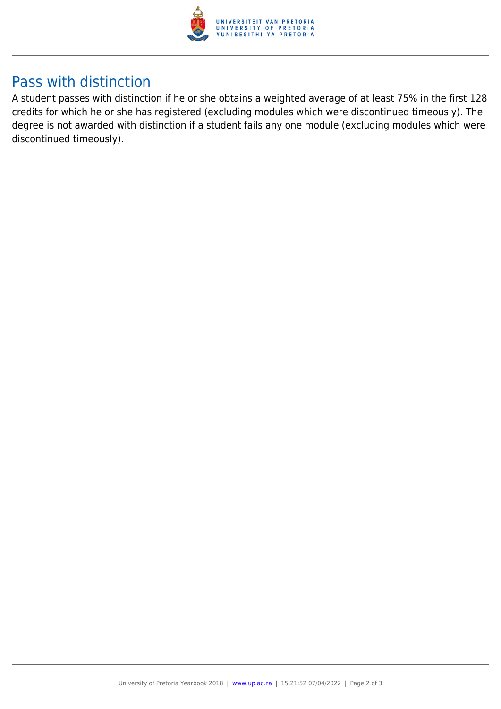

### Pass with distinction

A student passes with distinction if he or she obtains a weighted average of at least 75% in the first 128 credits for which he or she has registered (excluding modules which were discontinued timeously). The degree is not awarded with distinction if a student fails any one module (excluding modules which were discontinued timeously).